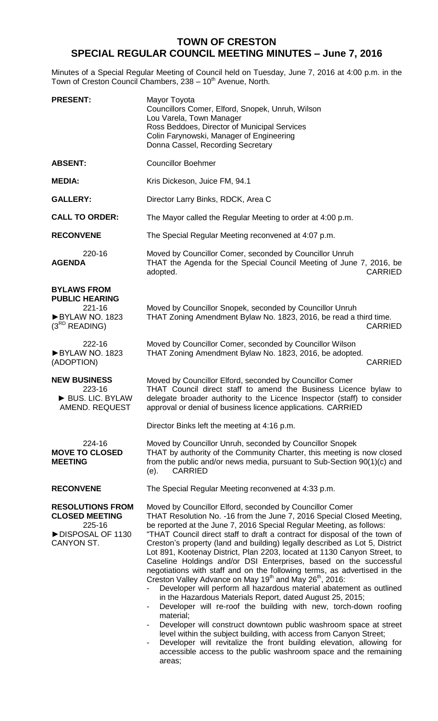## **TOWN OF CRESTON SPECIAL REGULAR COUNCIL MEETING MINUTES – June 7, 2016**

Minutes of a Special Regular Meeting of Council held on Tuesday, June 7, 2016 at 4:00 p.m. in the Town of Creston Council Chambers, 238 - 10<sup>th</sup> Avenue, North.

| <b>PRESENT:</b>                                                                               | Mayor Toyota<br>Councillors Comer, Elford, Snopek, Unruh, Wilson<br>Lou Varela, Town Manager<br>Ross Beddoes, Director of Municipal Services<br>Colin Farynowski, Manager of Engineering<br>Donna Cassel, Recording Secretary                                                                                                                                                                                                                                                                                                                                                                                                                                                                                                                                                                                                                                                                                                                                                                                                                                                                                                                                                                                                            |
|-----------------------------------------------------------------------------------------------|------------------------------------------------------------------------------------------------------------------------------------------------------------------------------------------------------------------------------------------------------------------------------------------------------------------------------------------------------------------------------------------------------------------------------------------------------------------------------------------------------------------------------------------------------------------------------------------------------------------------------------------------------------------------------------------------------------------------------------------------------------------------------------------------------------------------------------------------------------------------------------------------------------------------------------------------------------------------------------------------------------------------------------------------------------------------------------------------------------------------------------------------------------------------------------------------------------------------------------------|
| <b>ABSENT:</b>                                                                                | <b>Councillor Boehmer</b>                                                                                                                                                                                                                                                                                                                                                                                                                                                                                                                                                                                                                                                                                                                                                                                                                                                                                                                                                                                                                                                                                                                                                                                                                |
| <b>MEDIA:</b>                                                                                 | Kris Dickeson, Juice FM, 94.1                                                                                                                                                                                                                                                                                                                                                                                                                                                                                                                                                                                                                                                                                                                                                                                                                                                                                                                                                                                                                                                                                                                                                                                                            |
| <b>GALLERY:</b>                                                                               | Director Larry Binks, RDCK, Area C                                                                                                                                                                                                                                                                                                                                                                                                                                                                                                                                                                                                                                                                                                                                                                                                                                                                                                                                                                                                                                                                                                                                                                                                       |
| <b>CALL TO ORDER:</b>                                                                         | The Mayor called the Regular Meeting to order at 4:00 p.m.                                                                                                                                                                                                                                                                                                                                                                                                                                                                                                                                                                                                                                                                                                                                                                                                                                                                                                                                                                                                                                                                                                                                                                               |
| <b>RECONVENE</b>                                                                              | The Special Regular Meeting reconvened at 4:07 p.m.                                                                                                                                                                                                                                                                                                                                                                                                                                                                                                                                                                                                                                                                                                                                                                                                                                                                                                                                                                                                                                                                                                                                                                                      |
| 220-16<br><b>AGENDA</b>                                                                       | Moved by Councillor Comer, seconded by Councillor Unruh<br>THAT the Agenda for the Special Council Meeting of June 7, 2016, be<br><b>CARRIED</b><br>adopted.                                                                                                                                                                                                                                                                                                                                                                                                                                                                                                                                                                                                                                                                                                                                                                                                                                                                                                                                                                                                                                                                             |
| <b>BYLAWS FROM</b><br><b>PUBLIC HEARING</b><br>221-16<br>BYLAW NO. 1823<br>$(3^{RD}$ READING) | Moved by Councillor Snopek, seconded by Councillor Unruh<br>THAT Zoning Amendment Bylaw No. 1823, 2016, be read a third time.<br><b>CARRIED</b>                                                                                                                                                                                                                                                                                                                                                                                                                                                                                                                                                                                                                                                                                                                                                                                                                                                                                                                                                                                                                                                                                          |
| 222-16<br>BYLAW NO. 1823<br>(ADOPTION)                                                        | Moved by Councillor Comer, seconded by Councillor Wilson<br>THAT Zoning Amendment Bylaw No. 1823, 2016, be adopted.<br><b>CARRIED</b>                                                                                                                                                                                                                                                                                                                                                                                                                                                                                                                                                                                                                                                                                                                                                                                                                                                                                                                                                                                                                                                                                                    |
| <b>NEW BUSINESS</b><br>223-16<br>BUS. LIC. BYLAW<br>AMEND. REQUEST                            | Moved by Councillor Elford, seconded by Councillor Comer<br>THAT Council direct staff to amend the Business Licence bylaw to<br>delegate broader authority to the Licence Inspector (staff) to consider<br>approval or denial of business licence applications. CARRIED                                                                                                                                                                                                                                                                                                                                                                                                                                                                                                                                                                                                                                                                                                                                                                                                                                                                                                                                                                  |
|                                                                                               | Director Binks left the meeting at 4:16 p.m.                                                                                                                                                                                                                                                                                                                                                                                                                                                                                                                                                                                                                                                                                                                                                                                                                                                                                                                                                                                                                                                                                                                                                                                             |
| 224-16<br><b>MOVE TO CLOSED</b><br><b>MEETING</b>                                             | Moved by Councillor Unruh, seconded by Councillor Snopek<br>THAT by authority of the Community Charter, this meeting is now closed<br>from the public and/or news media, pursuant to Sub-Section 90(1)(c) and<br><b>CARRIED</b><br>(e).                                                                                                                                                                                                                                                                                                                                                                                                                                                                                                                                                                                                                                                                                                                                                                                                                                                                                                                                                                                                  |
| <b>RECONVENE</b>                                                                              | The Special Regular Meeting reconvened at 4:33 p.m.                                                                                                                                                                                                                                                                                                                                                                                                                                                                                                                                                                                                                                                                                                                                                                                                                                                                                                                                                                                                                                                                                                                                                                                      |
| <b>RESOLUTIONS FROM</b><br><b>CLOSED MEETING</b><br>225-16<br>DISPOSAL OF 1130<br>CANYON ST.  | Moved by Councillor Elford, seconded by Councillor Comer<br>THAT Resolution No. -16 from the June 7, 2016 Special Closed Meeting,<br>be reported at the June 7, 2016 Special Regular Meeting, as follows:<br>"THAT Council direct staff to draft a contract for disposal of the town of<br>Creston's property (land and building) legally described as Lot 5, District<br>Lot 891, Kootenay District, Plan 2203, located at 1130 Canyon Street, to<br>Caseline Holdings and/or DSI Enterprises, based on the successful<br>negotiations with staff and on the following terms, as advertised in the<br>Creston Valley Advance on May 19 <sup>th</sup> and May 26 <sup>th</sup> , 2016:<br>Developer will perform all hazardous material abatement as outlined<br>in the Hazardous Materials Report, dated August 25, 2015;<br>Developer will re-roof the building with new, torch-down roofing<br>$\overline{\phantom{a}}$<br>material;<br>Developer will construct downtown public washroom space at street<br>level within the subject building, with access from Canyon Street;<br>Developer will revitalize the front building elevation, allowing for<br>accessible access to the public washroom space and the remaining<br>areas; |